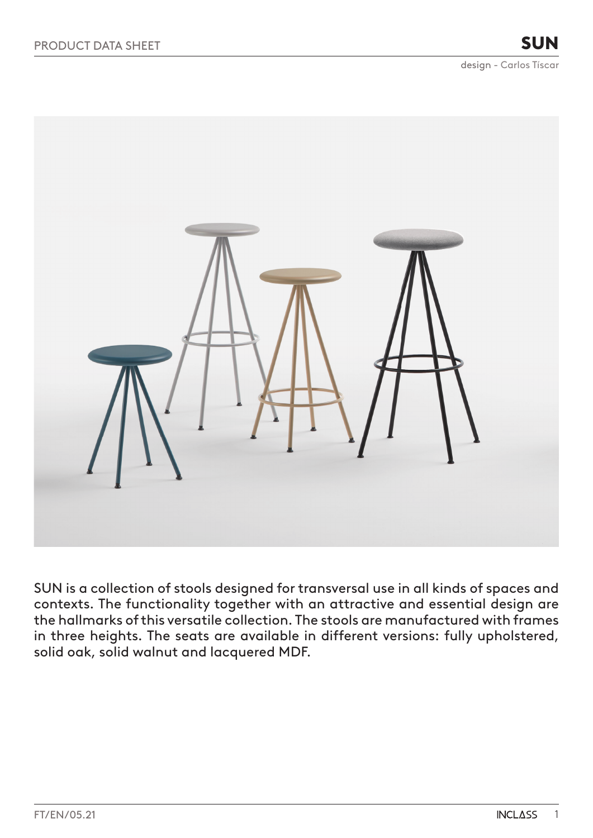

SUN is a collection of stools designed for transversal use in all kinds of spaces and contexts. The functionality together with an attractive and essential design are the hallmarks of this versatile collection. The stools are manufactured with frames in three heights. The seats are available in different versions: fully upholstered, solid oak, solid walnut and lacquered MDF.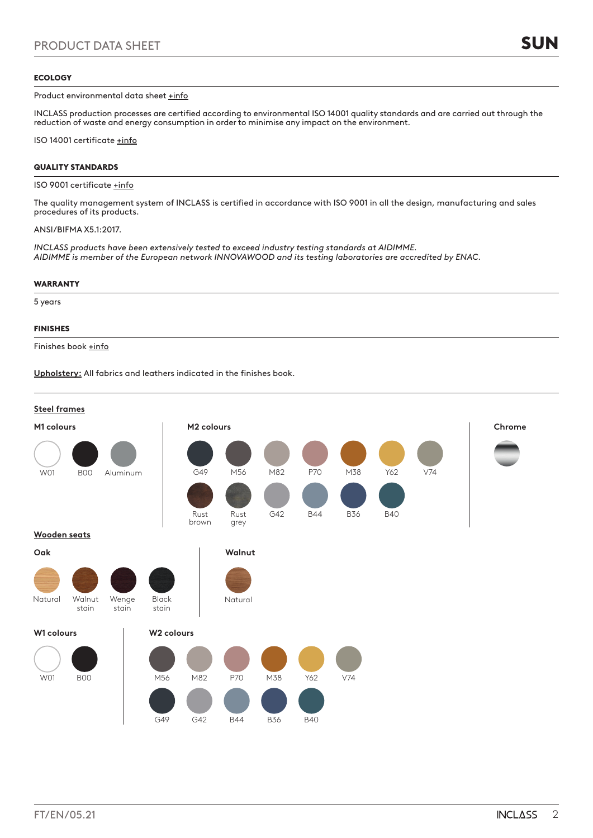## ECOLOGY

Product environmental data sheet [+info](https://inclass.es/wp-content/files_mf/1623665461FM_SUN_ENG.pdf)

INCLASS production processes are certified according to environmental ISO 14001 quality standards and are carried out through the reduction of waste and energy consumption in order to minimise any impact on the environment.

ISO 14001 certificate [+info](https://inclass.es/wp-content/files_mf/1589894317INCLASS_ISO14001_2019.pdf)

## QUALITY STANDARDS

### ISO 9001 certificate [+info](https://inclass.es/wp-content/files_mf/1587536904INCLASS_ISO9001_2019.pdf)

The quality management system of INCLASS is certified in accordance with ISO 9001 in all the design, manufacturing and sales procedures of its products.

## ANSI/BIFMA X5.1:2017.

*INCLASS products have been extensively tested to exceed industry testing standards at AIDIMME. AIDIMME is member of the European network INNOVAWOOD and its testing laboratories are accredited by ENAC.*

## WARRANTY

5 years

## FINISHES

Finishes book [+info](https://inclass.es/wp-content/files_mf/1580129466SUNSwatchBook.pdf)

**Upholstery:** All fabrics and leathers indicated in the finishes book.

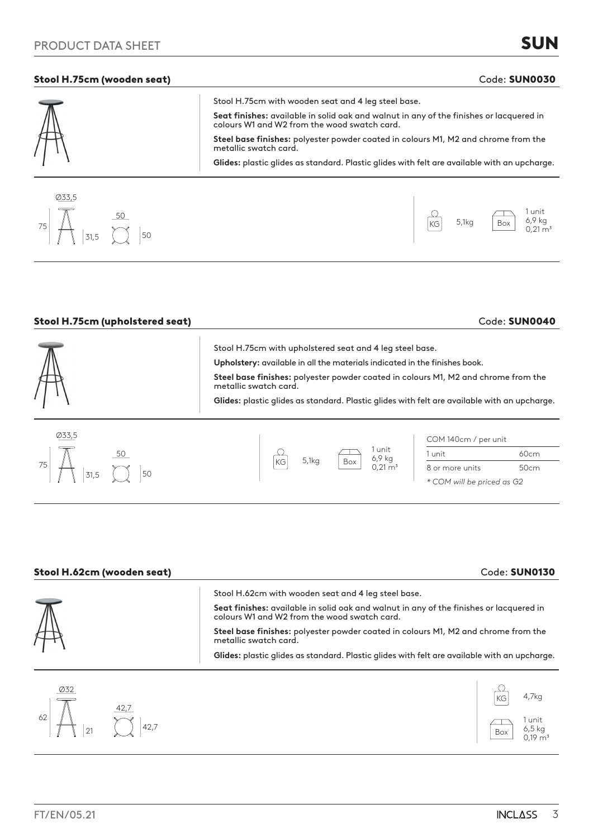## Stool H.75cm (wooden seat) and the state of the state of the code: SUN0030 Code: SUN0030

| $\overline{\mathbb{M}}$<br>Seat finishes: available in solid oak and walnut in any of the finishes or lacquered in<br>colours W1 and W2 from the wood swatch card.<br>Steel base finishes: polyester powder coated in colours M1, M2 and chrome from the |  |
|----------------------------------------------------------------------------------------------------------------------------------------------------------------------------------------------------------------------------------------------------------|--|
|                                                                                                                                                                                                                                                          |  |
| metallic swatch card.                                                                                                                                                                                                                                    |  |
| Glides: plastic glides as standard. Plastic glides with felt are available with an upcharge.                                                                                                                                                             |  |



| Stool H.75cm (upholstered seat) |                                                                                                                                                                                                                                                                                                                                                       | Code: SUN0040                                         |  |  |  |
|---------------------------------|-------------------------------------------------------------------------------------------------------------------------------------------------------------------------------------------------------------------------------------------------------------------------------------------------------------------------------------------------------|-------------------------------------------------------|--|--|--|
|                                 | Stool H.75cm with upholstered seat and 4 leg steel base.<br>Upholstery: available in all the materials indicated in the finishes book.<br>Steel base finishes: polyester powder coated in colours M1, M2 and chrome from the<br>metallic swatch card.<br>Glides: plastic glides as standard. Plastic glides with felt are available with an upcharge. |                                                       |  |  |  |
| Ø33,5                           | 1 unit                                                                                                                                                                                                                                                                                                                                                | COM 140cm / per unit<br>60cm<br>1 unit                |  |  |  |
| 75<br>$\overline{50}$<br>31.5   | 6,9 kg<br>5,1kg<br>Box<br>KG<br>$0.21 \text{ m}^3$                                                                                                                                                                                                                                                                                                    | 50cm<br>8 or more units<br>* COM will be priced as G2 |  |  |  |

| Stool H.62cm (wooden seat) | Code: SUN0130                                                                                                                                               |
|----------------------------|-------------------------------------------------------------------------------------------------------------------------------------------------------------|
|                            | Stool H.62cm with wooden seat and 4 leg steel base.<br>Seat finishes: available in solid oak and walnut in any of the finishes or lacquered in              |
|                            | colours W1 and W2 from the wood swatch card.<br>Steel base finishes: polyester powder coated in colours M1, M2 and chrome from the<br>metallic swatch card. |
|                            | Glides: plastic glides as standard. Plastic glides with felt are available with an upcharge.                                                                |

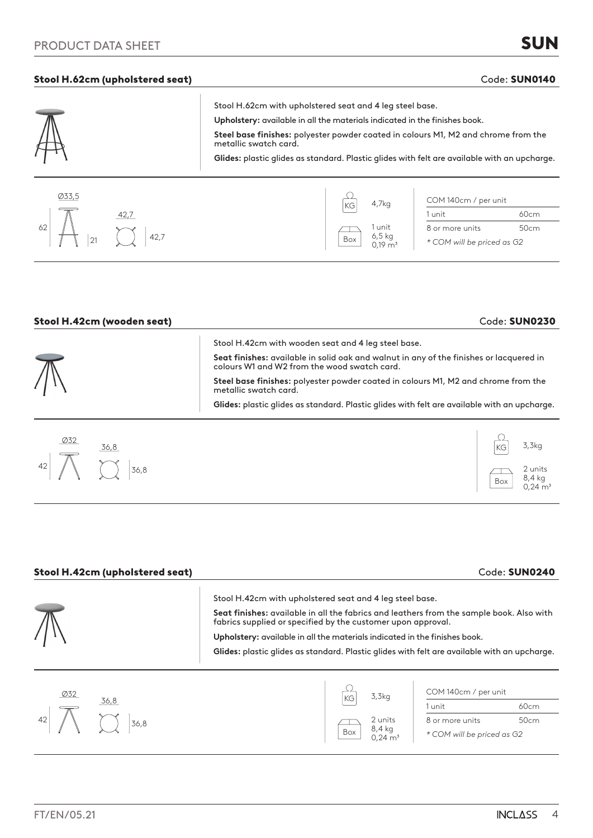# PRODUCT DATA SHEET

## Stool H.62cm (upholstered seat) Code: SUN0140

 $\overline{1}$ 

|                         | Stool H.62cm with upholstered seat and 4 leg steel base.                                                    |
|-------------------------|-------------------------------------------------------------------------------------------------------------|
| $\overline{\mathbb{N}}$ | Upholstery: available in all the materials indicated in the finishes book.                                  |
|                         | Steel base finishes: polyester powder coated in colours M1, M2 and chrome from the<br>metallic swatch card. |
|                         | Glides: plastic glides as standard. Plastic glides with felt are available with an upcharge.                |
|                         |                                                                                                             |



| Stool H.42cm (wooden seat) | Code: SUN0230                                                                                                                                                                                                                                                                                                                                                                                                 |  |  |  |
|----------------------------|---------------------------------------------------------------------------------------------------------------------------------------------------------------------------------------------------------------------------------------------------------------------------------------------------------------------------------------------------------------------------------------------------------------|--|--|--|
|                            | Stool H.42cm with wooden seat and 4 leg steel base.<br>Seat finishes: available in solid oak and walnut in any of the finishes or lacquered in<br>colours W1 and W2 from the wood swatch card.<br>Steel base finishes: polyester powder coated in colours M1, M2 and chrome from the<br>metallic swatch card.<br>Glides: plastic glides as standard. Plastic glides with felt are available with an upcharge. |  |  |  |
| 032<br>36,8<br>42<br>36,8  | 3,3kq<br>2 units<br>$84$ kg                                                                                                                                                                                                                                                                                                                                                                                   |  |  |  |

| Stool H.42cm (upholstered seat) |                                                                                                                                                                                                                                                                                                                                                                                                    |                   |                                                 | Code: SUN0240 |
|---------------------------------|----------------------------------------------------------------------------------------------------------------------------------------------------------------------------------------------------------------------------------------------------------------------------------------------------------------------------------------------------------------------------------------------------|-------------------|-------------------------------------------------|---------------|
|                                 | Stool H.42cm with upholstered seat and 4 leg steel base.<br>Seat finishes: available in all the fabrics and leathers from the sample book. Also with<br>fabrics supplied or specified by the customer upon approval.<br>Upholstery: available in all the materials indicated in the finishes book.<br>Glides: plastic glides as standard. Plastic glides with felt are available with an upcharge. |                   |                                                 |               |
| <b>Ø32</b><br>36,8              |                                                                                                                                                                                                                                                                                                                                                                                                    | 3,3kg             | COM 140cm / per unit<br>1 unit                  | 60cm          |
| 42<br>36,8                      |                                                                                                                                                                                                                                                                                                                                                                                                    | 2 units<br>8,4 kg | 8 or more units<br>$*$ COM will be priced as GO | 50cm          |

8 or more units 50cm *\* COM will be priced as G2*

2 units  $8,4$  kg  $0.24 \text{ m}^3$ 

Box

2 units 8,4 kg  $0,24 \, \text{m}^3$ 

Box